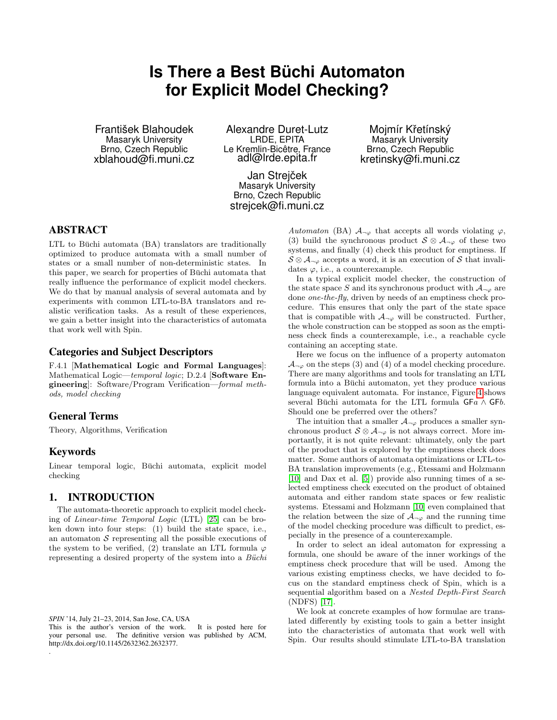# **Is There a Best Büchi Automaton for Explicit Model Checking?**

František Blahoudek Masaryk University Brno, Czech Republic xblahoud@fi.muni.cz

Alexandre Duret-Lutz LRDE, EPITA Le Kremlin-Bicêtre, France adl@lrde.epita.fr

Jan Strejček Masaryk University Brno, Czech Republic strejcek@fi.muni.cz

Mojmír Křetínský Masaryk University Brno, Czech Republic kretinsky@fi.muni.cz

# ABSTRACT

LTL to Büchi automata (BA) translators are traditionally optimized to produce automata with a small number of states or a small number of non-deterministic states. In this paper, we search for properties of Büchi automata that really influence the performance of explicit model checkers. We do that by manual analysis of several automata and by experiments with common LTL-to-BA translators and realistic verification tasks. As a result of these experiences, we gain a better insight into the characteristics of automata that work well with Spin.

# Categories and Subject Descriptors

F.4.1 [Mathematical Logic and Formal Languages]: Mathematical Logic—temporal logic; D.2.4 [Software Engineering]: Software/Program Verification—formal methods, model checking

# General Terms

Theory, Algorithms, Verification

# Keywords

.

Linear temporal logic, Büchi automata, explicit model checking

### 1. INTRODUCTION

The automata-theoretic approach to explicit model checking of Linear-time Temporal Logic (LTL) [\[25\]](#page-8-0) can be broken down into four steps: (1) build the state space, i.e., an automaton  $S$  representing all the possible executions of the system to be verified, (2) translate an LTL formula  $\varphi$ representing a desired property of the system into a Büchi

*SPIN* '14, July 21–23, 2014, San Jose, CA, USA

This is the author's version of the work. It is posted here for your personal use. The definitive version was published by ACM, http://dx.doi.org/10.1145/2632362.2632377.

Automaton (BA)  $A_{\neg\varphi}$  that accepts all words violating  $\varphi$ , (3) build the synchronous product  $S \otimes A_{\neg \varphi}$  of these two systems, and finally (4) check this product for emptiness. If  $S \otimes A_{\neg \varphi}$  accepts a word, it is an execution of S that invalidates  $\varphi$ , i.e., a counterexample.

In a typical explicit model checker, the construction of the state space S and its synchronous product with  $A_{\neg\varphi}$  are done one-the-fly, driven by needs of an emptiness check procedure. This ensures that only the part of the state space that is compatible with  $A_{\neg \varphi}$  will be constructed. Further, the whole construction can be stopped as soon as the emptiness check finds a counterexample, i.e., a reachable cycle containing an accepting state.

Here we focus on the influence of a property automaton  $\mathcal{A}_{\neg\varphi}$  on the steps (3) and (4) of a model checking procedure. There are many algorithms and tools for translating an LTL formula into a Büchi automaton, yet they produce various language equivalent automata. For instance, Figure [4](#page-5-0) shows several Büchi automata for the LTL formula  $GFa \wedge GFb$ . Should one be preferred over the others?

The intuition that a smaller  $\mathcal{A}_{\neg \varphi}$  produces a smaller synchronous product  $S \otimes A_{\neg \varphi}$  is not always correct. More importantly, it is not quite relevant: ultimately, only the part of the product that is explored by the emptiness check does matter. Some authors of automata optimizations or LTL-to-BA translation improvements (e.g., Etessami and Holzmann [\[10\]](#page-7-0) and Dax et al. [\[5\]](#page-7-1)) provide also running times of a selected emptiness check executed on the product of obtained automata and either random state spaces or few realistic systems. Etessami and Holzmann [\[10\]](#page-7-0) even complained that the relation between the size of  $\mathcal{A}_{\neg \varphi}$  and the running time of the model checking procedure was difficult to predict, especially in the presence of a counterexample.

In order to select an ideal automaton for expressing a formula, one should be aware of the inner workings of the emptiness check procedure that will be used. Among the various existing emptiness checks, we have decided to focus on the standard emptiness check of Spin, which is a sequential algorithm based on a Nested Depth-First Search (NDFS) [\[17\]](#page-8-1).

We look at concrete examples of how formulae are translated differently by existing tools to gain a better insight into the characteristics of automata that work well with Spin. Our results should stimulate LTL-to-BA translation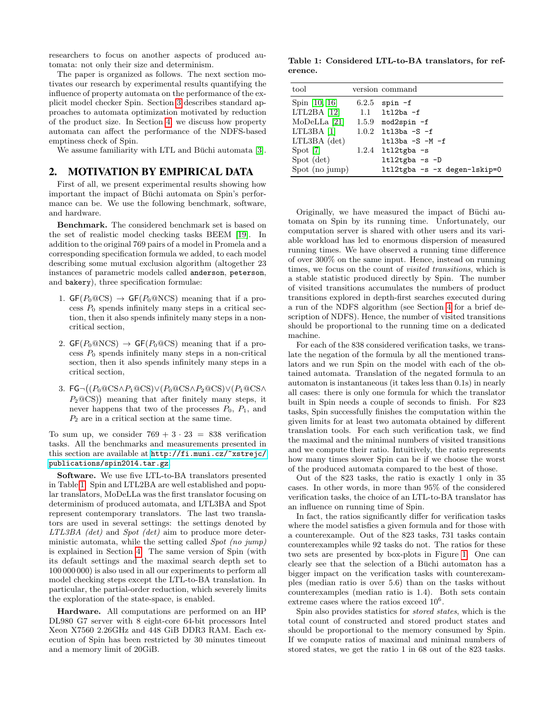researchers to focus on another aspects of produced automata: not only their size and determinism.

The paper is organized as follows. The next section motivates our research by experimental results quantifying the influence of property automata on the performance of the explicit model checker Spin. Section [3](#page-2-0) describes standard approaches to automata optimization motivated by reduction of the product size. In Section [4,](#page-3-0) we discuss how property automata can affect the performance of the NDFS-based emptiness check of Spin.

We assume familiarity with LTL and Büchi automata [\[3\]](#page-7-2).

# 2. MOTIVATION BY EMPIRICAL DATA

First of all, we present experimental results showing how important the impact of Büchi automata on Spin's performance can be. We use the following benchmark, software, and hardware.

Benchmark. The considered benchmark set is based on the set of realistic model checking tasks BEEM [\[19\]](#page-8-2). In addition to the original 769 pairs of a model in Promela and a corresponding specification formula we added, to each model describing some mutual exclusion algorithm (altogether 23 instances of parametric models called anderson, peterson, and bakery), three specification formulae:

- 1.  $GF(P_0@CS) \rightarrow GF(P_0@NCS)$  meaning that if a process  $P_0$  spends infinitely many steps in a critical section, then it also spends infinitely many steps in a noncritical section,
- 2.  $GF(P_0@NCS) \rightarrow GF(P_0@CS)$  meaning that if a process  $P_0$  spends infinitely many steps in a non-critical section, then it also spends infinitely many steps in a critical section,
- 3.  $FG\neg((P_0@CS \wedge P_1@CS) \vee (P_0@CS \wedge P_2@CS) \vee (P_1@CS \wedge P_2@CS)$  $P_2 \text{QCS}$ ) meaning that after finitely many steps, it never happens that two of the processes  $P_0$ ,  $P_1$ , and  $P_2$  are in a critical section at the same time.

To sum up, we consider  $769 + 3 \cdot 23 = 838$  verification tasks. All the benchmarks and measurements presented in this section are available at [http://fi.muni.cz/~xstrejc/](http://fi.muni.cz/~xstrejc/publications/spin2014.tar.gz) [publications/spin2014.tar.gz](http://fi.muni.cz/~xstrejc/publications/spin2014.tar.gz).

Software. We use five LTL-to-BA translators presented in Table [1:](#page-1-0) Spin and LTL2BA are well established and popular translators, MoDeLLa was the first translator focusing on determinism of produced automata, and LTL3BA and Spot represent contemporary translators. The last two translators are used in several settings: the settings denoted by LTL3BA (det) and Spot (det) aim to produce more deterministic automata, while the setting called Spot (no jump) is explained in Section [4.](#page-3-0) The same version of Spin (with its default settings and the maximal search depth set to 100 000 000) is also used in all our experiments to perform all model checking steps except the LTL-to-BA translation. In particular, the partial-order reduction, which severely limits the exploration of the state-space, is enabled.

Hardware. All computations are performed on an HP DL980 G7 server with 8 eight-core 64-bit processors Intel Xeon X7560 2.26GHz and 448 GiB DDR3 RAM. Each execution of Spin has been restricted by 30 minutes timeout and a memory limit of 20GiB.

<span id="page-1-0"></span>Table 1: Considered LTL-to-BA translators, for reference.

| tool           |       | version command                |
|----------------|-------|--------------------------------|
| Spin [10, 16]  | 6.2.5 | $spin-f$                       |
| LTL2BA [12]    |       | $1.1$ 1tl2ba -f                |
| MoDeLLa [21]   |       | 1.5.9 mod2spin $-f$            |
| LTL3BA [1]     |       | $1.0.2$ 1tl3ba -S -f           |
| $LTL3BA$ (det) |       | $ltl13ba$ -S -M -f             |
| Spot [7]       |       | 1.2.4 1t12tgba $-s$            |
| Spot (det)     |       | $ltl2tgba -s -D$               |
| Spot (no jump) |       | $ltl2tgba -s -x degen-lskip=0$ |

Originally, we have measured the impact of Büchi automata on Spin by its running time. Unfortunately, our computation server is shared with other users and its variable workload has led to enormous dispersion of measured running times. We have observed a running time difference of over 300% on the same input. Hence, instead on running times, we focus on the count of visited transitions, which is a stable statistic produced directly by Spin. The number of visited transitions accumulates the numbers of product transitions explored in depth-first searches executed during a run of the NDFS algorithm (see Section [4](#page-3-0) for a brief description of NDFS). Hence, the number of visited transitions should be proportional to the running time on a dedicated machine.

For each of the 838 considered verification tasks, we translate the negation of the formula by all the mentioned translators and we run Spin on the model with each of the obtained automata. Translation of the negated formula to an automaton is instantaneous (it takes less than 0.1s) in nearly all cases: there is only one formula for which the translator built in Spin needs a couple of seconds to finish. For 823 tasks, Spin successfully finishes the computation within the given limits for at least two automata obtained by different translation tools. For each such verification task, we find the maximal and the minimal numbers of visited transitions and we compute their ratio. Intuitively, the ratio represents how many times slower Spin can be if we choose the worst of the produced automata compared to the best of those.

Out of the 823 tasks, the ratio is exactly 1 only in 35 cases. In other words, in more than 95% of the considered verification tasks, the choice of an LTL-to-BA translator has an influence on running time of Spin.

In fact, the ratios significantly differ for verification tasks where the model satisfies a given formula and for those with a counterexample. Out of the 823 tasks, 731 tasks contain counterexamples while 92 tasks do not. The ratios for these two sets are presented by box-plots in Figure [1.](#page-2-1) One can clearly see that the selection of a Büchi automaton has a bigger impact on the verification tasks with counterexamples (median ratio is over 5.6) than on the tasks without counterexamples (median ratio is 1.4). Both sets contain extreme cases where the ratios exceed  $10^6$ .

Spin also provides statistics for stored states, which is the total count of constructed and stored product states and should be proportional to the memory consumed by Spin. If we compute ratios of maximal and minimal numbers of stored states, we get the ratio 1 in 68 out of the 823 tasks.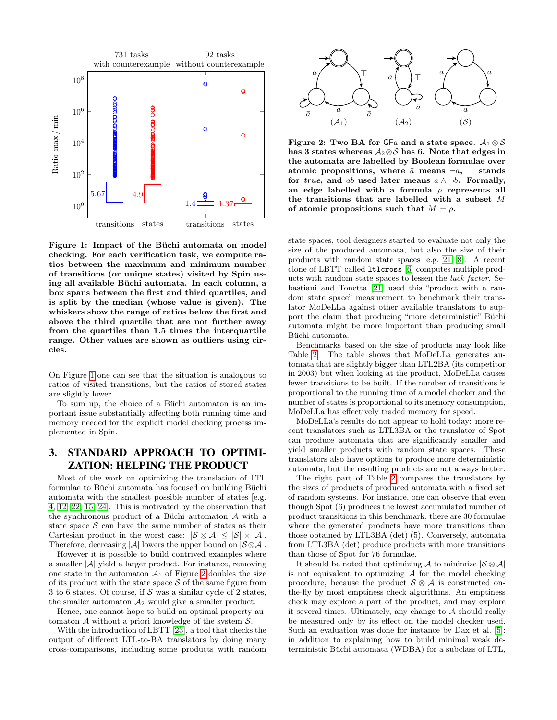

<span id="page-2-1"></span>Figure 1: Impact of the Büchi automata on model checking. For each verification task, we compute ratios between the maximum and minimum number of transitions (or unique states) visited by Spin using all available Büchi automata. In each column, a box spans between the first and third quartiles, and is split by the median (whose value is given). The whiskers show the range of ratios below the first and above the third quartile that are not further away from the quartiles than 1.5 times the interquartile range. Other values are shown as outliers using circles.

On Figure [1](#page-2-1) one can see that the situation is analogous to ratios of visited transitions, but the ratios of stored states are slightly lower.

To sum up, the choice of a Büchi automaton is an important issue substantially affecting both running time and memory needed for the explicit model checking process implemented in Spin.

# <span id="page-2-0"></span>3. STANDARD APPROACH TO OPTIMI-ZATION: HELPING THE PRODUCT

Most of the work on optimizing the translation of LTL formulae to Büchi automata has focused on building Büchi automata with the smallest possible number of states [e.g. [4,](#page-7-6) [12,](#page-7-3) [22,](#page-8-5) [15,](#page-7-7) [24\]](#page-8-6). This is motivated by the observation that the synchronous product of a Büchi automaton  $A$  with a state space  $S$  can have the same number of states as their Cartesian product in the worst case:  $|S \otimes A| \leq |S| \times |A|$ . Therefore, decreasing |A| lowers the upper bound on  $|\mathcal{S} \otimes \mathcal{A}|$ .

However it is possible to build contrived examples where a smaller |A| yield a larger product. For instance, removing one state in the automaton  $A_1$  of Figure [2](#page-2-2) doubles the size of its product with the state space  $S$  of the same figure from 3 to 6 states. Of course, if  $S$  was a similar cycle of 2 states, the smaller automaton  $A_2$  would give a smaller product.

Hence, one cannot hope to build an optimal property automaton  $A$  without a priori knowledge of the system  $S$ .

With the introduction of LBTT [\[23\]](#page-8-7), a tool that checks the output of different LTL-to-BA translators by doing many cross-comparisons, including some products with random



<span id="page-2-2"></span>Figure 2: Two BA for GFa and a state space.  $A_1 \otimes S$ has 3 states whereas  $A_2 \otimes S$  has 6. Note that edges in the automata are labelled by Boolean formulae over atomic propositions, where  $\bar{a}$  means  $\neg a$ ,  $\top$  stands for true, and  $a\bar{b}$  used later means  $a \wedge \neg b$ . Formally, an edge labelled with a formula  $\rho$  represents all the transitions that are labelled with a subset M of atomic propositions such that  $M \models \rho$ .

state spaces, tool designers started to evaluate not only the size of the produced automata, but also the size of their products with random state spaces [e.g. [21,](#page-8-4) [8\]](#page-7-8). A recent clone of LBTT called ltlcross [\[6\]](#page-7-9) computes multiple products with random state spaces to lessen the luck factor. Sebastiani and Tonetta [\[21\]](#page-8-4) used this "product with a random state space" measurement to benchmark their translator MoDeLLa against other available translators to support the claim that producing "more deterministic" Büchi automata might be more important than producing small Büchi automata.

Benchmarks based on the size of products may look like Table [2.](#page-3-1) The table shows that MoDeLLa generates automata that are slightly bigger than LTL2BA (its competitor in 2003) but when looking at the product, MoDeLLa causes fewer transitions to be built. If the number of transitions is proportional to the running time of a model checker and the number of states is proportional to its memory consumption, MoDeLLa has effectively traded memory for speed.

MoDeLLa's results do not appear to hold today: more recent translators such as LTL3BA or the translator of Spot can produce automata that are significantly smaller and yield smaller products with random state spaces. These translators also have options to produce more deterministic automata, but the resulting products are not always better.

The right part of Table [2](#page-3-1) compares the translators by the sizes of products of produced automata with a fixed set of random systems. For instance, one can observe that even though Spot (6) produces the lowest accumulated number of product transitions in this benchmark, there are 30 formulae where the generated products have more transitions than those obtained by LTL3BA (det) (5). Conversely, automata from LTL3BA (det) produce products with more transitions than those of Spot for 76 formulae.

It should be noted that optimizing A to minimize  $|S \otimes A|$ is not equivalent to optimizing  $A$  for the model checking procedure, because the product  $S \otimes A$  is constructed onthe-fly by most emptiness check algorithms. An emptiness check may explore a part of the product, and may explore it several times. Ultimately, any change to  $A$  should really be measured only by its effect on the model checker used. Such an evaluation was done for instance by Dax et al. [\[5\]](#page-7-1): in addition to explaining how to build minimal weak deterministic Büchi automata (WDBA) for a subclass of LTL,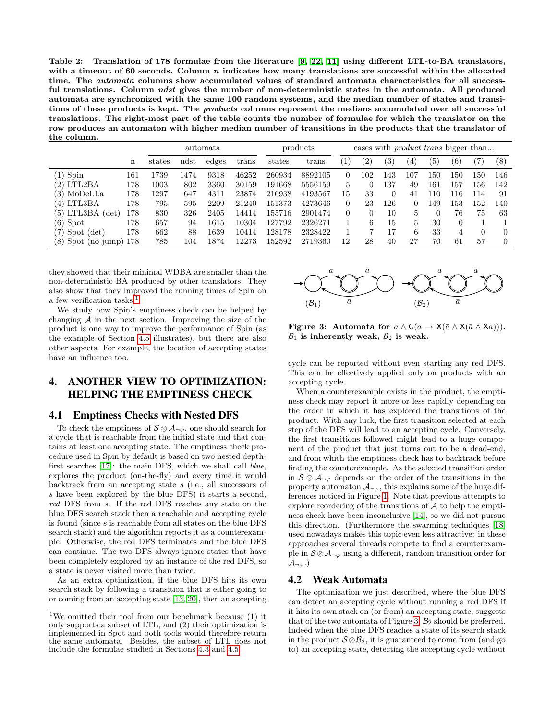<span id="page-3-1"></span>Table 2: Translation of 178 formulae from the literature [\[9,](#page-7-10) [22,](#page-8-5) [11\]](#page-7-11) using different LTL-to-BA translators, with a timeout of 60 seconds. Column  $n$  indicates how many translations are successful within the allocated time. The *automata* columns show accumulated values of standard automata characteristics for all successful translations. Column ndst gives the number of non-deterministic states in the automata. All produced automata are synchronized with the same 100 random systems, and the median number of states and transitions of these products is kept. The products columns represent the medians accumulated over all successful translations. The right-most part of the table counts the number of formulae for which the translator on the row produces an automaton with higher median number of transitions in the products that the translator of the column.

|                           |     | automata |      |       | products | cases with <i>product trans</i> bigger than |         |                  |     |     |                  |     |                   |          |          |
|---------------------------|-----|----------|------|-------|----------|---------------------------------------------|---------|------------------|-----|-----|------------------|-----|-------------------|----------|----------|
|                           | n   | states   | ndst | edges | trans    | states                                      | trans   | $\left  \right $ | (2) | 3)  | $\left(4\right)$ | (5) | $\left( 6\right)$ | 7        | $^{(8)}$ |
| $(1)$ Spin                | 161 | 1739     | 1474 | 9318  | 46252    | 260934                                      | 8892105 | $\theta$         | 102 | 143 | 107              | 150 | 150               | 150      | 146      |
| (2) LTL2BA                | 178 | 1003     | 802  | 3360  | 30159    | 191668                                      | 5556159 | 5                | 0   | 137 | 49               | 161 | 157               | 156      | 142      |
| (3) MoDeLLa               | 178 | 1297     | 647  | 4311  | 23874    | 216938                                      | 4193567 | 15               | 33  |     | 41               | 110 | 116               | 114      | -91      |
| (4) LTL3BA                | 178 | 795      | 595  | 2209  | 21240    | 151373                                      | 4273646 | $\overline{0}$   | 23  | 126 |                  | 149 | 153               | 152      | 140      |
| $(5)$ LTL3BA $(det)$      | 178 | 830      | 326  | 2405  | 14414    | 155716                                      | 2901474 | $\overline{0}$   | 0   | 10  | b.               |     | 76                | 75       | 63       |
| $(6)$ Spot                | 178 | 657      | 94   | 1615  | 10304    | 127792                                      | 2326271 |                  | 6   | 15  | b.               | 30  | $\Omega$          |          |          |
| Spot (det)<br>(7)         | 178 | 662      | 88   | 1639  | 10414    | 128178                                      | 2328422 |                  |     | 17  | 6                | 33  | 4                 | $\theta$ | $\Omega$ |
| Spot (no jump) 178<br>(8) |     | 785      | 104  | 1874  | 12273    | 152592                                      | 2719360 | 12               | 28  | 40  | 27               | 70  | 61                | 57       | $\Omega$ |

they showed that their minimal WDBA are smaller than the non-deterministic BA produced by other translators. They also show that they improved the running times of Spin on a few verification tasks.<sup>[1](#page-3-2)</sup>

We study how Spin's emptiness check can be helped by changing  $A$  in the next section. Improving the size of the product is one way to improve the performance of Spin (as the example of Section [4.5](#page-5-1) illustrates), but there are also other aspects. For example, the location of accepting states have an influence too.

# <span id="page-3-0"></span>4. ANOTHER VIEW TO OPTIMIZATION: HELPING THE EMPTINESS CHECK

#### 4.1 Emptiness Checks with Nested DFS

To check the emptiness of  $S \otimes A_{\neg \varphi}$ , one should search for a cycle that is reachable from the initial state and that contains at least one accepting state. The emptiness check procedure used in Spin by default is based on two nested depthfirst searches [\[17\]](#page-8-1): the main DFS, which we shall call blue, explores the product (on-the-fly) and every time it would backtrack from an accepting state  $s$  (i.e., all successors of s have been explored by the blue DFS) it starts a second, red DFS from s. If the red DFS reaches any state on the blue DFS search stack then a reachable and accepting cycle is found (since s is reachable from all states on the blue DFS search stack) and the algorithm reports it as a counterexample. Otherwise, the red DFS terminates and the blue DFS can continue. The two DFS always ignore states that have been completely explored by an instance of the red DFS, so a state is never visited more than twice.

As an extra optimization, if the blue DFS hits its own search stack by following a transition that is either going to or coming from an accepting state [\[13,](#page-7-12) [20\]](#page-8-8), then an accepting



<span id="page-3-3"></span>Figure 3: Automata for  $a \wedge G(a \rightarrow X(\bar{a} \wedge X(\bar{a} \wedge Xa)))$ .  $B_1$  is inherently weak,  $B_2$  is weak.

cycle can be reported without even starting any red DFS. This can be effectively applied only on products with an accepting cycle.

When a counterexample exists in the product, the emptiness check may report it more or less rapidly depending on the order in which it has explored the transitions of the product. With any luck, the first transition selected at each step of the DFS will lead to an accepting cycle. Conversely, the first transitions followed might lead to a huge component of the product that just turns out to be a dead-end, and from which the emptiness check has to backtrack before finding the counterexample. As the selected transition order in  $S \otimes A_{\neg \varphi}$  depends on the order of the transitions in the property automaton  $\mathcal{A}_{\neg\varphi}$ , this explains some of the huge differences noticed in Figure [1.](#page-2-1) Note that previous attempts to explore reordering of the transitions of  $A$  to help the emptiness check have been inconclusive [\[14\]](#page-7-13), so we did not pursue this direction. (Furthermore the swarming techniques [\[18\]](#page-8-9) used nowadays makes this topic even less attractive: in these approaches several threads compete to find a counterexample in  $S \otimes A_{\neg \varphi}$  using a different, random transition order for  $\mathcal{A}_{\neg \varphi}$ .)

# 4.2 Weak Automata

The optimization we just described, where the blue DFS can detect an accepting cycle without running a red DFS if it hits its own stack on (or from) an accepting state, suggests that of the two automata of Figure [3,](#page-3-3)  $\mathcal{B}_2$  should be preferred. Indeed when the blue DFS reaches a state of its search stack in the product  $S \otimes B_2$ , it is guaranteed to come from (and go to) an accepting state, detecting the accepting cycle without

<span id="page-3-2"></span><sup>&</sup>lt;sup>1</sup>We omitted their tool from our benchmark because  $(1)$  it only supports a subset of LTL, and (2) their optimization is implemented in Spot and both tools would therefore return the same automata. Besides, the subset of LTL does not include the formulae studied in Sections [4.3](#page-4-0) and [4.5.](#page-5-1)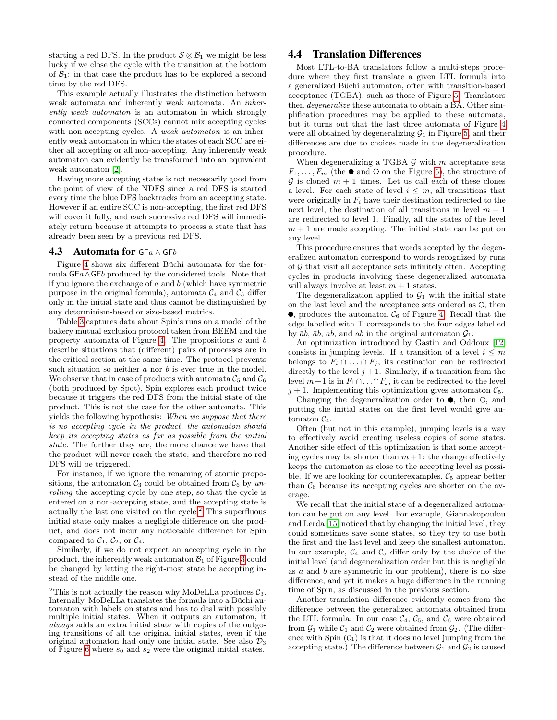starting a red DFS. In the product  $S \otimes B_1$  we might be less lucky if we close the cycle with the transition at the bottom of  $B_1$ : in that case the product has to be explored a second time by the red DFS.

This example actually illustrates the distinction between weak automata and inherently weak automata. An inherently weak automaton is an automaton in which strongly connected components (SCCs) cannot mix accepting cycles with non-accepting cycles. A *weak automaton* is an inherently weak automaton in which the states of each SCC are either all accepting or all non-accepting. Any inherently weak automaton can evidently be transformed into an equivalent weak automaton [\[2\]](#page-7-14).

Having more accepting states is not necessarily good from the point of view of the NDFS since a red DFS is started every time the blue DFS backtracks from an accepting state. However if an entire SCC is non-accepting, the first red DFS will cover it fully, and each successive red DFS will immediately return because it attempts to process a state that has already been seen by a previous red DFS.

#### <span id="page-4-0"></span>4.3 Automata for  $GFa \wedge GEb$

Figure [4](#page-5-0) shows six different Büchi automata for the formula GFa∧GFb produced by the considered tools. Note that if you ignore the exchange of  $a$  and  $b$  (which have symmetric purpose in the original formula), automata  $\mathcal{C}_4$  and  $\mathcal{C}_5$  differ only in the initial state and thus cannot be distinguished by any determinism-based or size-based metrics.

Table [3](#page-5-2) captures data about Spin's runs on a model of the bakery mutual exclusion protocol taken from BEEM and the property automata of Figure [4.](#page-5-0) The propositions  $a$  and  $b$ describe situations that (different) pairs of processes are in the critical section at the same time. The protocol prevents such situation so neither  $a$  nor  $b$  is ever true in the model. We observe that in case of products with automata  $\mathcal{C}_5$  and  $\mathcal{C}_6$ (both produced by Spot), Spin explores each product twice because it triggers the red DFS from the initial state of the product. This is not the case for the other automata. This yields the following hypothesis: When we suppose that there is no accepting cycle in the product, the automaton should keep its accepting states as far as possible from the initial state. The further they are, the more chance we have that the product will never reach the state, and therefore no red DFS will be triggered.

For instance, if we ignore the renaming of atomic propositions, the automaton  $\mathcal{C}_3$  could be obtained from  $\mathcal{C}_6$  by unrolling the accepting cycle by one step, so that the cycle is entered on a non-accepting state, and the accepting state is actually the last one visited on the cycle. $<sup>2</sup>$  $<sup>2</sup>$  $<sup>2</sup>$  This superfluous</sup> initial state only makes a negligible difference on the product, and does not incur any noticeable difference for Spin compared to  $C_1$ ,  $C_2$ , or  $C_4$ .

Similarly, if we do not expect an accepting cycle in the product, the inherently weak automaton  $\mathcal{B}_1$  of Figure [3](#page-3-3) could be changed by letting the right-most state be accepting instead of the middle one.

# 4.4 Translation Differences

Most LTL-to-BA translators follow a multi-steps procedure where they first translate a given LTL formula into a generalized Büchi automaton, often with transition-based acceptance (TGBA), such as those of Figure [5.](#page-5-3) Translators then degeneralize these automata to obtain a BA. Other simplification procedures may be applied to these automata, but it turns out that the last three automata of Figure [4](#page-5-0) were all obtained by degeneralizing  $\mathcal{G}_1$  in Figure [5,](#page-5-3) and their differences are due to choices made in the degeneralization procedure.

When degeneralizing a TGBA  $G$  with m acceptance sets  $F_1, \ldots, F_m$  (the  $\bullet$  and  $\circ$  on the Figure [5\)](#page-5-3), the structure of  $\mathcal G$  is cloned  $m+1$  times. Let us call each of these clones a level. For each state of level  $i \leq m$ , all transitions that were originally in  $F_i$  have their destination redirected to the next level, the destination of all transitions in level  $m + 1$ are redirected to level 1. Finally, all the states of the level  $m + 1$  are made accepting. The initial state can be put on any level.

This procedure ensures that words accepted by the degeneralized automaton correspond to words recognized by runs of  $G$  that visit all acceptance sets infinitely often. Accepting cycles in products involving these degeneralized automata will always involve at least  $m + 1$  states.

The degeneralization applied to  $\mathcal{G}_1$  with the initial state on the last level and the acceptance sets ordered as  $\circlearrowleft$ , then  $\bullet$ , produces the automaton  $\mathcal{C}_6$  of Figure [4.](#page-5-0) Recall that the edge labelled with  $\top$  corresponds to the four edges labelled by  $\bar{a}b$ ,  $\bar{a}b$ , ab, and ab in the original automaton  $\mathcal{G}_1$ .

An optimization introduced by Gastin and Oddoux [\[12\]](#page-7-3) consists in jumping levels. If a transition of a level  $i \leq m$ belongs to  $F_i \cap \ldots \cap F_j$ , its destination can be redirected directly to the level  $j+1$ . Similarly, if a transition from the level  $m+1$  is in  $F_1 \cap ... \cap F_j$ , it can be redirected to the level  $j + 1$ . Implementing this optimization gives automaton  $C_5$ .

Changing the degeneralization order to  $\bullet$ , then  $\circ$ , and putting the initial states on the first level would give automaton  $C_4$ .

Often (but not in this example), jumping levels is a way to effectively avoid creating useless copies of some states. Another side effect of this optimization is that some accepting cycles may be shorter than  $m + 1$ : the change effectively keeps the automaton as close to the accepting level as possible. If we are looking for counterexamples,  $C_5$  appear better than  $C_6$  because its accepting cycles are shorter on the average.

We recall that the initial state of a degeneralized automaton can be put on any level. For example, Giannakopoulou and Lerda [\[15\]](#page-7-7) noticed that by changing the initial level, they could sometimes save some states, so they try to use both the first and the last level and keep the smallest automaton. In our example,  $C_4$  and  $C_5$  differ only by the choice of the initial level (and degeneralization order but this is negligible as  $a$  and  $b$  are symmetric in our problem), there is no size difference, and yet it makes a huge difference in the running time of Spin, as discussed in the previous section.

Another translation difference evidently comes from the difference between the generalized automata obtained from the LTL formula. In our case  $C_4$ ,  $C_5$ , and  $C_6$  were obtained from  $\mathcal{G}_1$  while  $\mathcal{C}_1$  and  $\mathcal{C}_2$  were obtained from  $\mathcal{G}_2$ . (The difference with Spin  $(C_1)$  is that it does no level jumping from the accepting state.) The difference between  $\mathcal{G}_1$  and  $\mathcal{G}_2$  is caused

<span id="page-4-1"></span><sup>&</sup>lt;sup>2</sup>This is not actually the reason why MoDeLLa produces  $C_3$ . Internally, MoDeLLa translates the formula into a Büchi automaton with labels on states and has to deal with possibly multiple initial states. When it outputs an automaton, it always adds an extra initial state with copies of the outgoing transitions of all the original initial states, even if the original automaton had only one initial state. See also  $\mathcal{D}_3$ of Figure [6](#page-6-0) where  $s_0$  and  $s_2$  were the original initial states.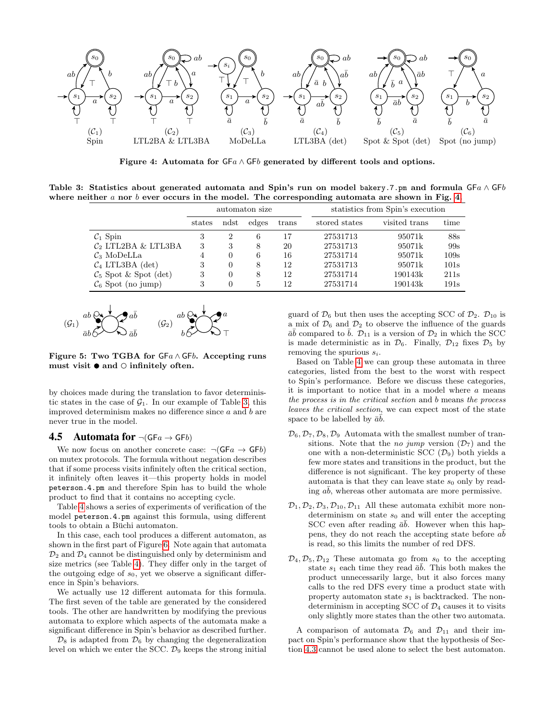

<span id="page-5-0"></span>Figure 4: Automata for GFa ∧ GFb generated by different tools and options.

Table 3: Statistics about generated automata and Spin's run on model bakery.7.pm and formula GFa  $\wedge$  GFb where neither  $a$  nor  $b$  ever occurs in the model. The corresponding automata are shown in Fig. [4.](#page-5-0)

<span id="page-5-2"></span>

|                                   |        |                | automaton size |       | statistics from Spin's execution |               |                 |  |  |
|-----------------------------------|--------|----------------|----------------|-------|----------------------------------|---------------|-----------------|--|--|
|                                   | states | ndst           | edges          | trans | stored states                    | visited trans | time            |  |  |
| $C_1$ Spin                        | 3      | 2              | 6              | 17    | 27531713                         | 95071k        | 88s             |  |  |
| $C_2$ LTL2BA & LTL3BA             | 3      | 3              | 8              | 20    | 27531713                         | 95071k        | 99s             |  |  |
| $\mathcal{C}_3$ MoDeLLa           | 4      | $\theta$       | 6              | 16    | 27531714                         | 95071k        | 109s            |  |  |
| $C_4$ LTL3BA (det)                | 3      | $\overline{0}$ | 8              | 12    | 27531713                         | 95071k        | 101s            |  |  |
| $\mathcal{C}_5$ Spot & Spot (det) | 3      | $\theta$       | 8              | 12    | 27531714                         | 190143k       | 211s            |  |  |
| $\mathcal{C}_6$ Spot (no jump)    | 3      | $\theta$       | 5              | 12    | 27531714                         | 190143k       | $191\mathrm{s}$ |  |  |



<span id="page-5-3"></span>Figure 5: Two TGBA for  $GFa \wedge GFb$ . Accepting runs must visit  $\bullet$  and  $\circ$  infinitely often.

by choices made during the translation to favor deterministic states in the case of  $\mathcal{G}_1$ . In our example of Table [3,](#page-5-2) this improved determinism makes no difference since a and b are never true in the model.

#### <span id="page-5-1"></span>4.5 Automata for  $\neg$ (GFa  $\rightarrow$  GFb)

We now focus on another concrete case:  $\neg(GFa \rightarrow GFb)$ on mutex protocols. The formula without negation describes that if some process visits infinitely often the critical section, it infinitely often leaves it—this property holds in model peterson.4.pm and therefore Spin has to build the whole product to find that it contains no accepting cycle.

Table [4](#page-6-1) shows a series of experiments of verification of the model peterson.4.pm against this formula, using different tools to obtain a Büchi automaton.

In this case, each tool produces a different automaton, as shown in the first part of Figure [6.](#page-6-0) Note again that automata  $\mathcal{D}_2$  and  $\mathcal{D}_4$  cannot be distinguished only by determinism and size metrics (see Table [4\)](#page-6-1). They differ only in the target of the outgoing edge of  $s_0$ , yet we observe a significant difference in Spin's behaviors.

We actually use 12 different automata for this formula. The first seven of the table are generated by the considered tools. The other are handwritten by modifying the previous automata to explore which aspects of the automata make a significant difference in Spin's behavior as described further.

 $\mathcal{D}_8$  is adapted from  $\mathcal{D}_6$  by changing the degeneralization level on which we enter the SCC.  $\mathcal{D}_9$  keeps the strong initial guard of  $\mathcal{D}_6$  but then uses the accepting SCC of  $\mathcal{D}_2$ .  $\mathcal{D}_{10}$  is a mix of  $\mathcal{D}_6$  and  $\mathcal{D}_2$  to observe the influence of the guards  $\bar{a}\bar{b}$  compared to  $\bar{b}$ .  $\mathcal{D}_{11}$  is a version of  $\mathcal{D}_2$  in which the SCC is made deterministic as in  $\mathcal{D}_6$ . Finally,  $\mathcal{D}_{12}$  fixes  $\mathcal{D}_5$  by removing the spurious  $s_i$ .

Based on Table [4](#page-6-1) we can group these automata in three categories, listed from the best to the worst with respect to Spin's performance. Before we discuss these categories, it is important to notice that in a model where  $a$  means the process is in the critical section and b means the process leaves the critical section, we can expect most of the state space to be labelled by  $\bar{a}\bar{b}$ .

- $\mathcal{D}_6, \mathcal{D}_7, \mathcal{D}_8, \mathcal{D}_9$  Automata with the smallest number of transitions. Note that the *no jump* version  $(\mathcal{D}_7)$  and the one with a non-deterministic SCC  $(\mathcal{D}_9)$  both yields a few more states and transitions in the product, but the difference is not significant. The key property of these automata is that they can leave state  $s_0$  only by reading ab, whereas other automata are more permissive.
- $\mathcal{D}_1, \mathcal{D}_2, \mathcal{D}_3, \mathcal{D}_{10}, \mathcal{D}_{11}$  All these automata exhibit more nondeterminism on state  $s_0$  and will enter the accepting SCC even after reading  $\bar{a}b$ . However when this happens, they do not reach the accepting state before  $a\bar{b}$ is read, so this limits the number of red DFS.
- $\mathcal{D}_4, \mathcal{D}_5, \mathcal{D}_{12}$  These automata go from  $s_0$  to the accepting state  $s_1$  each time they read  $\bar{a}\bar{b}$ . This both makes the product unnecessarily large, but it also forces many calls to the red DFS every time a product state with property automaton state  $s_1$  is backtracked. The nondeterminism in accepting SCC of  $\mathcal{D}_4$  causes it to visits only slightly more states than the other two automata.

A comparison of automata  $\mathcal{D}_6$  and  $\mathcal{D}_{11}$  and their impact on Spin's performance show that the hypothesis of Section [4.3](#page-4-0) cannot be used alone to select the best automaton.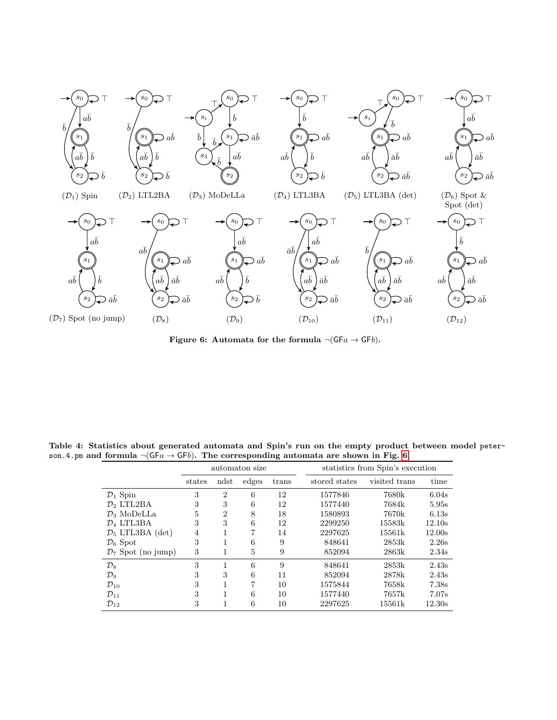

<span id="page-6-0"></span>Figure 6: Automata for the formula  $\neg(GFa \rightarrow GFb)$ .

Table 4: Statistics about generated automata and Spin's run on the empty product between model peterson.4.pm and formula  $\neg(GF_a \rightarrow GF_b)$ . The corresponding automata are shown in Fig. [6.](#page-6-0)

<span id="page-6-1"></span>

|                                |        |                | automaton size |       | statistics from Spin's execution |               |        |  |  |  |
|--------------------------------|--------|----------------|----------------|-------|----------------------------------|---------------|--------|--|--|--|
|                                | states | $_{\rm ndst}$  | $_{\rm edges}$ | trans | stored states                    | visited trans | time   |  |  |  |
| $\mathcal{D}_1$ Spin           | 3      | $\overline{2}$ | 6              | 12    | 1577846                          | 7680k         | 6.04s  |  |  |  |
| $\mathcal{D}_2$ LTL2BA         | 3      | 3              | 6              | 12    | 1577440                          | 7684k         | 5.95s  |  |  |  |
| $\mathcal{D}_3$ MoDeLLa        | 5      | 2              | 8              | 18    | 1580893                          | 7670k         | 6.13s  |  |  |  |
| $\mathcal{D}_4$ LTL3BA         | 3      | 3              | 6              | 12    | 2299250                          | 15583k        | 12.10s |  |  |  |
| $\mathcal{D}_5$ LTL3BA (det)   | 4      |                | 7              | 14    | 2297625                          | 15561k        | 12.00s |  |  |  |
| $\mathcal{D}_6$ Spot           | 3      |                | 6              | 9     | 848641                           | 2853k         | 2.26s  |  |  |  |
| $\mathcal{D}_7$ Spot (no jump) | 3      | 1              | 5              | 9     | 852094                           | 2863k         | 2.34s  |  |  |  |
| $\mathcal{D}_8$                | 3      | 1              | 6              | 9     | 848641                           | 2853k         | 2.43s  |  |  |  |
| $\mathcal{D}_9$                | 3      | 3              | 6              | 11    | 852094                           | 2878k         | 2.43s  |  |  |  |
| $\mathcal{D}_{10}$             | 3      |                | 7              | 10    | 1575844                          | 7658k         | 7.38s  |  |  |  |
| $\mathcal{D}_{11}$             | 3      | 1              | 6              | 10    | 1577440                          | 7657k         | 7.07s  |  |  |  |
| $\mathcal{D}_{12}$             | 3      | п              | 6              | 10    | 2297625                          | 15561k        | 12.30s |  |  |  |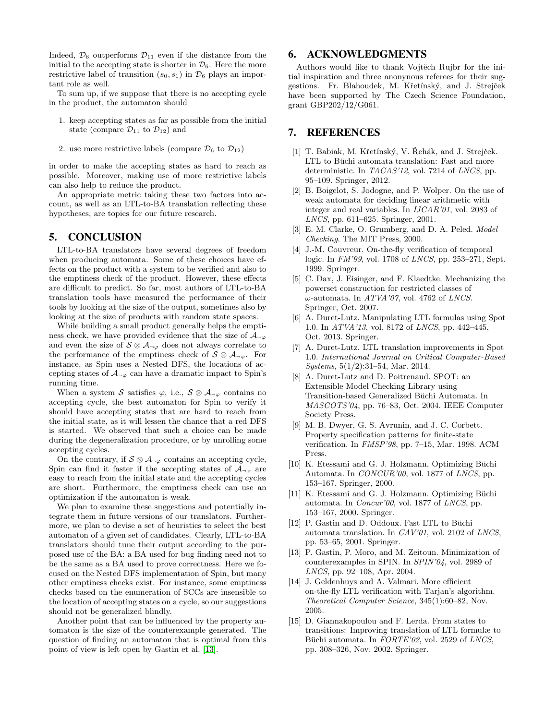Indeed,  $\mathcal{D}_6$  outperforms  $\mathcal{D}_{11}$  even if the distance from the initial to the accepting state is shorter in  $\mathcal{D}_6$ . Here the more restrictive label of transition  $(s_0, s_1)$  in  $\mathcal{D}_6$  plays an important role as well.

To sum up, if we suppose that there is no accepting cycle in the product, the automaton should

- 1. keep accepting states as far as possible from the initial state (compare  $\mathcal{D}_{11}$  to  $\mathcal{D}_{12}$ ) and
- 2. use more restrictive labels (compare  $\mathcal{D}_6$  to  $\mathcal{D}_{12}$ )

in order to make the accepting states as hard to reach as possible. Moreover, making use of more restrictive labels can also help to reduce the product.

An appropriate metric taking these two factors into account, as well as an LTL-to-BA translation reflecting these hypotheses, are topics for our future research.

### 5. CONCLUSION

LTL-to-BA translators have several degrees of freedom when producing automata. Some of these choices have effects on the product with a system to be verified and also to the emptiness check of the product. However, these effects are difficult to predict. So far, most authors of LTL-to-BA translation tools have measured the performance of their tools by looking at the size of the output, sometimes also by looking at the size of products with random state spaces.

While building a small product generally helps the emptiness check, we have provided evidence that the size of  $\mathcal{A}_{\neg\varphi}$ and even the size of  $S \otimes A_{\neg \varphi}$  does not always correlate to the performance of the emptiness check of  $S \otimes A_{\neg \varphi}$ . For instance, as Spin uses a Nested DFS, the locations of accepting states of  $A_{\neg \varphi}$  can have a dramatic impact to Spin's running time.

When a system S satisfies  $\varphi$ , i.e.,  $S \otimes A_{\neg \varphi}$  contains no accepting cycle, the best automaton for Spin to verify it should have accepting states that are hard to reach from the initial state, as it will lessen the chance that a red DFS is started. We observed that such a choice can be made during the degeneralization procedure, or by unrolling some accepting cycles.

On the contrary, if  $S \otimes A_{\neg \varphi}$  contains an accepting cycle, Spin can find it faster if the accepting states of  $A_{\neg \varphi}$  are easy to reach from the initial state and the accepting cycles are short. Furthermore, the emptiness check can use an optimization if the automaton is weak.

We plan to examine these suggestions and potentially integrate them in future versions of our translators. Furthermore, we plan to devise a set of heuristics to select the best automaton of a given set of candidates. Clearly, LTL-to-BA translators should tune their output according to the purposed use of the BA: a BA used for bug finding need not to be the same as a BA used to prove correctness. Here we focused on the Nested DFS implementation of Spin, but many other emptiness checks exist. For instance, some emptiness checks based on the enumeration of SCCs are insensible to the location of accepting states on a cycle, so our suggestions should not be generalized blindly.

Another point that can be influenced by the property automaton is the size of the counterexample generated. The question of finding an automaton that is optimal from this point of view is left open by Gastin et al. [\[13\]](#page-7-12).

# 6. ACKNOWLEDGMENTS

Authors would like to thank Vojtěch Rujbr for the initial inspiration and three anonynous referees for their suggestions. Fr. Blahoudek, M. Křetínský, and J. Strejček have been supported by The Czech Science Foundation, grant GBP202/12/G061.

# 7. REFERENCES

- <span id="page-7-4"></span>[1] T. Babiak, M. Křetínský, V. Řehák, and J. Strejček. LTL to Büchi automata translation: Fast and more deterministic. In TACAS'12, vol. 7214 of LNCS, pp. 95–109. Springer, 2012.
- <span id="page-7-14"></span>[2] B. Boigelot, S. Jodogne, and P. Wolper. On the use of weak automata for deciding linear arithmetic with integer and real variables. In IJCAR'01, vol. 2083 of LNCS, pp. 611–625. Springer, 2001.
- <span id="page-7-2"></span>[3] E. M. Clarke, O. Grumberg, and D. A. Peled. Model Checking. The MIT Press, 2000.
- <span id="page-7-6"></span>[4] J.-M. Couvreur. On-the-fly verification of temporal logic. In FM'99, vol. 1708 of LNCS, pp. 253–271, Sept. 1999. Springer.
- <span id="page-7-1"></span>[5] C. Dax, J. Eisinger, and F. Klaedtke. Mechanizing the powerset construction for restricted classes of  $\omega$ -automata. In ATVA'07, vol. 4762 of LNCS. Springer, Oct. 2007.
- <span id="page-7-9"></span>[6] A. Duret-Lutz. Manipulating LTL formulas using Spot 1.0. In ATVA'13, vol. 8172 of LNCS, pp. 442–445, Oct. 2013. Springer.
- <span id="page-7-5"></span>[7] A. Duret-Lutz. LTL translation improvements in Spot 1.0. International Journal on Critical Computer-Based Systems, 5(1/2):31–54, Mar. 2014.
- <span id="page-7-8"></span>[8] A. Duret-Lutz and D. Poitrenaud. SPOT: an Extensible Model Checking Library using Transition-based Generalized Buchi Automata. In ¨ MASCOTS'04, pp. 76–83, Oct. 2004. IEEE Computer Society Press.
- <span id="page-7-10"></span>[9] M. B. Dwyer, G. S. Avrunin, and J. C. Corbett. Property specification patterns for finite-state verification. In FMSP'98, pp. 7–15, Mar. 1998. ACM Press.
- <span id="page-7-0"></span>[10] K. Etessami and G. J. Holzmann. Optimizing Büchi Automata. In CONCUR'00, vol. 1877 of LNCS, pp. 153–167. Springer, 2000.
- <span id="page-7-11"></span>[11] K. Etessami and G. J. Holzmann. Optimizing Büchi automata. In Concur'00, vol. 1877 of LNCS, pp. 153–167, 2000. Springer.
- <span id="page-7-3"></span>[12] P. Gastin and D. Oddoux. Fast LTL to Büchi automata translation. In CAV'01, vol. 2102 of LNCS, pp. 53–65, 2001. Springer.
- <span id="page-7-12"></span>[13] P. Gastin, P. Moro, and M. Zeitoun. Minimization of counterexamples in SPIN. In SPIN'04, vol. 2989 of LNCS, pp. 92–108, Apr. 2004.
- <span id="page-7-13"></span>[14] J. Geldenhuys and A. Valmari. More efficient on-the-fly LTL verification with Tarjan's algorithm. Theoretical Computer Science, 345(1):60–82, Nov. 2005.
- <span id="page-7-7"></span>[15] D. Giannakopoulou and F. Lerda. From states to transitions: Improving translation of LTL formulæ to Büchi automata. In  $FORTE'02$ , vol. 2529 of LNCS, pp. 308–326, Nov. 2002. Springer.